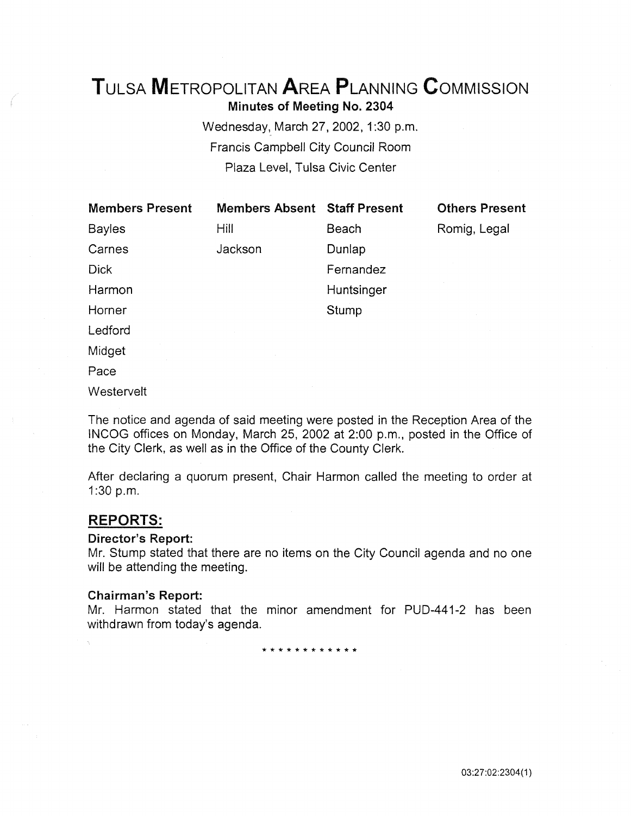# TuLSA METROPOLITAN AREA PLANNING CoMMISSION Minutes of Meeting No. 2304

Wednesday, March 27, 2002, 1:30 p.m. Francis Campbell City Council Room Plaza Level, Tulsa Civic Center

| <b>Members Present</b> | <b>Members Absent</b> | <b>Staff Present</b> | <b>Others Present</b> |
|------------------------|-----------------------|----------------------|-----------------------|
| <b>Bayles</b>          | Hill                  | <b>Beach</b>         | Romig, Legal          |
| Carnes                 | Jackson               | Dunlap               |                       |
| <b>Dick</b>            |                       | Fernandez            |                       |
| Harmon                 |                       | Huntsinger           |                       |
| Horner                 |                       | Stump                |                       |
| Ledford                |                       |                      |                       |
| Midget                 |                       |                      |                       |
| Pace                   |                       |                      |                       |
| Westervelt             |                       |                      |                       |

The notice and agenda of said meeting were posted in the Reception Area of the INCOG offices on Monday, March 25, 2002 at 2:00 p.m., posted in the Office of the City Clerk, as well as in the Office of the County Clerk.

After declaring a quorum present, Chair Harmon called the meeting to order at 1:30 p.m.

# REPORTS:

### Director's Report:

Mr. Stump stated that there are no items on the City Council agenda and no one will be attending the meeting.

### Chairman's Report:

Mr. Harmon stated that the minor amendment for PUD-441-2 has been withdrawn from today's agenda.

\* \* \* \* \* \* \* \* \* \* \* \*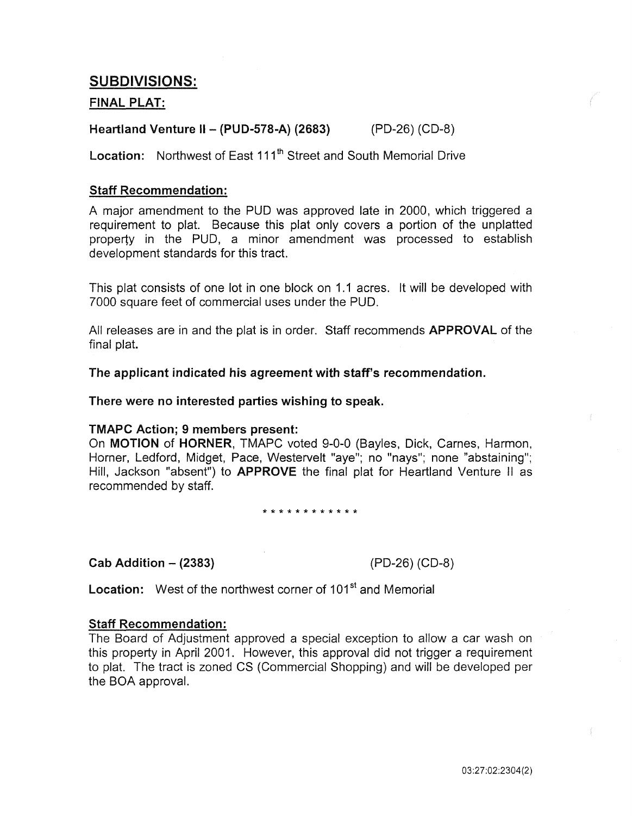# SUBDIVISIONS:

# FINAL PLAT:

# Heartland Venture II - (PUD-578-A) (2683) (PD-26) (CD-8)

Location: Northwest of East 111<sup>th</sup> Street and South Memorial Drive

### Staff Recommendation:

A major amendment to the PUD was approved late in 2000, which triggered a requirement to plat. Because this plat only covers a portion of the unplatted property in the PUD, a minor amendment was processed to establish development standards for this tract.

This plat consists of one lot in one block on 1.1 acres. It will be developed with 7000 square feet of commercial uses under the PUD.

All releases are in and the plat is in order. Staff recommends APPROVAL of the final plat.

The applicant indicated his agreement with staff's recommendation.

There were no interested parties wishing to speak.

### TMAPC Action; 9 members present:

On MOTION of HORNER, TMAPC voted 9-0-0 (Bayles, Dick, Carnes, Harmon, Horner, Ledford, Midget, Pace, Westervelt "aye"; no "nays"; none "abstaining"; Hill, Jackson "absent") to APPROVE the final plat for Heartland Venture II as recommended by staff.

\* \* \* \* \* \* \* \* \* \* \* \*

### Cab Addition - (2383) (PD-26) (CD-8)

Location: West of the northwest corner of 101<sup>st</sup> and Memorial

### Staff Recommendation:

The Board of Adjustment approved a special exception to allow a car wash on this property in April 2001. However, this approval did not trigger a requirement to plat. The tract is zoned CS (Commercial Shopping) and will be developed per the BOA approval.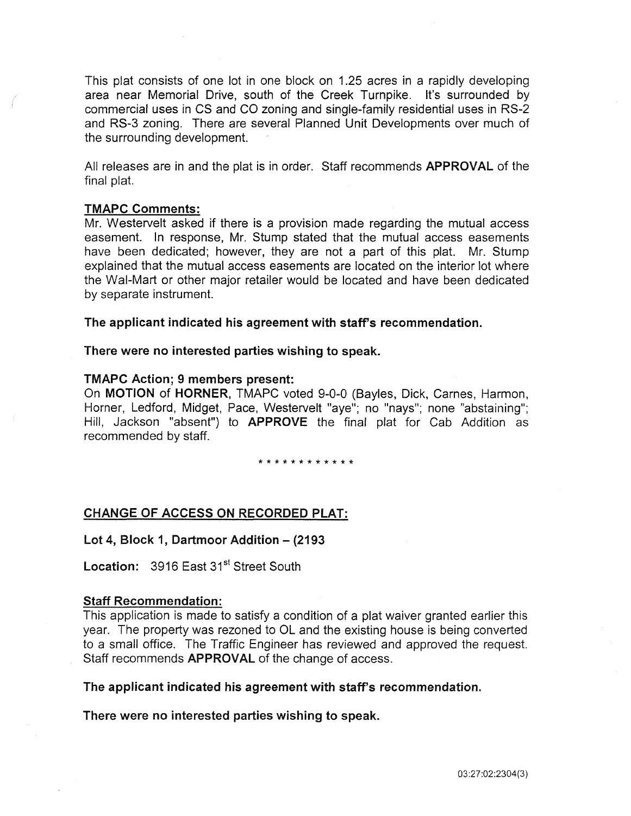This plat consists of one lot in one block on 1.25 acres in a rapidly developing area near Memorial Drive, south of the Creek Turnpike. It's surrounded by commercial uses in CS and CO zoning and single-family residential uses in RS-2 and RS-3 zoning. There are several Planned Unit Developments over much of the surrounding development.

All releases are in and the plat is in order. Staff recommends **APPROVAL** of the final plat.

### TMAPC Comments:

Mr. Westervelt asked if there is a provision made regarding the mutual access easement. In response, Mr. Stump stated that the mutual access easements have been dedicated; however, they are not a part of this plat. Mr. Stump explained that the mutual access easements are located on the interior lot where the Wai-Mart or other major retailer would be located and have been dedicated by separate instrument.

The applicant indicated his agreement with staff's recommendation.

### There were no interested parties wishing to speak.

### TMAPC Action; 9 members present:

On MOTION of HORNER, TMAPC voted 9-0-0 (Bayles, Dick, Carnes, Harmon, Horner, Ledford, Midget, Pace, Westervelt "aye"; no "nays"; none "abstaining"; Hill, Jackson "absent") to APPROVE the final plat for Cab Addition as recommended by staff.

\* \* \* \* \* \* \* \* \* \* \* \*

### CHANGE OF ACCESS ON RECORDED PLAT:

### Lot 4, Block 1, Dartmoor Addition - (2193)

Location: 3916 East 31<sup>st</sup> Street South

### Staff Recommendation:

This application is made to satisfy a condition of a plat waiver granted earlier this year. The property was rezoned to OL and the existing house is being converted to a small office. The Traffic Engineer has reviewed and approved the request. Staff recommends APPROVAL of the change of access.

### The applicant indicated his agreement with staff's recommendation.

There were no interested parties wishing to speak.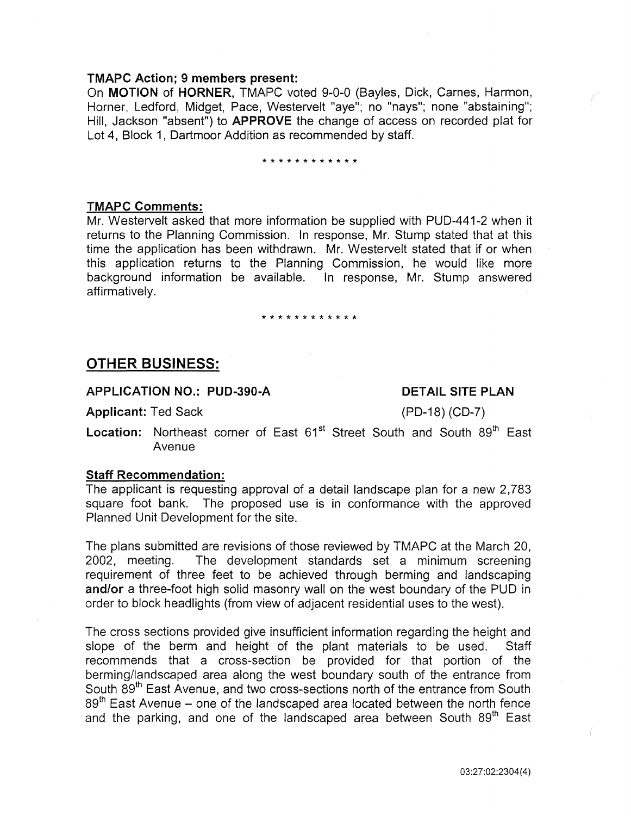### TMAPC Action; 9 members present:

On MOTION of HORNER, TMAPC voted 9-0-0 (Bayles, Dick, Carnes, Harmon, Horner, Ledford, Midget, Pace, Westervelt "aye"; no "nays"; none "abstaining"; Hill, Jackson "absent") to APPROVE the change of access on recorded plat for Lot 4, Block 1, Dartmoor Addition as recommended by staff.

# \*\*\*\*\*\*\*\*\*\*\*\*

### TMAPC Comments:

Mr. Westervelt asked that more information be supplied with PUD-441-2 when it returns to the Planning Commission. In response, Mr. Stump stated that at this time the application has been withdrawn. Mr. Westervelt stated that if or when this application returns to the Planning Commission, he would like more background information be available. In response, Mr. Stump answered affirmatively.

# \* \* \* \* \* \* \* \* \* \* \* \*

### **OTHER** BUSINESS:

### APPLICATION **NO.:** PUD-390-A

### DETAIL SITE PLAN

Applicant: Ted Sack

(PD-18) (CD-7)

Location: Northeast corner of East 61<sup>st</sup> Street South and South 89<sup>th</sup> East Avenue

### Staff Recommendation:

The applicant is requesting approval of a detail landscape plan for a new 2,783 square foot bank. The proposed use is in conformance with the approved Planned Unit Development for the site.

The plans submitted are revisions of those reviewed by TMAPC at the March 20, 2002, meeting. The development standards set a minimum screening requirement of three feet to be achieved through berming and landscaping and/or a three-foot high solid masonry wall on the west boundary of the PUD in order to block headlights (from view of adjacent residential uses to the west).

The cross sections provided give insufficient information regarding the height and slope of the berm and height of the plant materials to be used. Staff recommends that a cross-section be provided for that portion of the berming/landscaped area along the west boundary south of the entrance from South 89<sup>th</sup> East Avenue, and two cross-sections north of the entrance from South 89<sup>th</sup> East Avenue – one of the landscaped area located between the north fence and the parking, and one of the landscaped area between South 89<sup>th</sup> East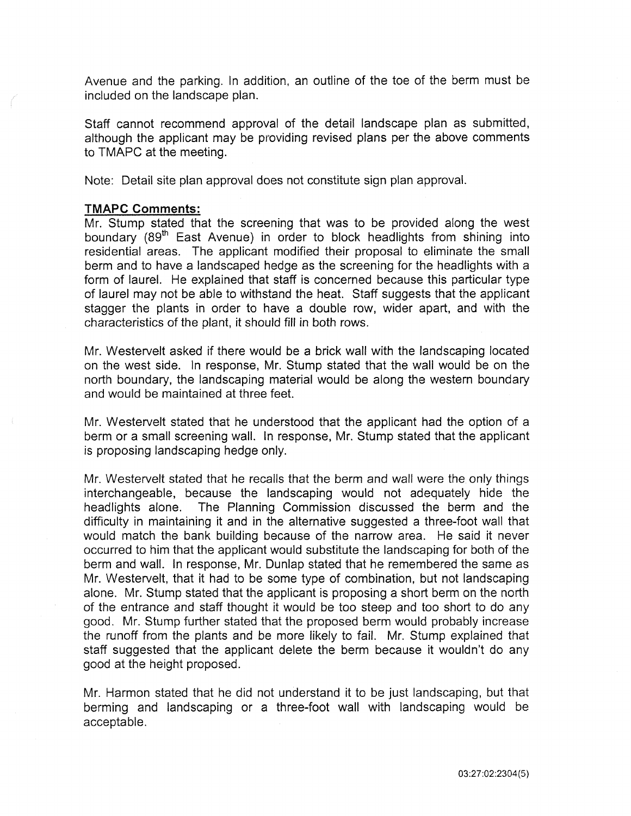Avenue and the parking. In addition, an outline of the toe of the berm must be included on the landscape plan.

Staff cannot recommend approval of the detail landscape plan as submitted, although the applicant may be providing revised plans per the above comments to TMAPC at the meeting.

Note: Detail site plan approval does not constitute sign plan approval.

### **TMAPC Comments:**

Mr. Stump stated that the screening that was to be provided along the west boundary (89<sup>th</sup> East Avenue) in order to block headlights from shining into residential areas. The applicant modified their proposal to eliminate the small berm and to have a landscaped hedge as the screening for the headlights with a form of laurel. He explained that staff is concerned because this particular type of laurel may not be able to withstand the heat. Staff suggests that the applicant stagger the plants in order to have a double row, wider apart, and with the characteristics of the plant, it should fill in both rows.

Mr. Westervelt asked if there would be a brick wall with the landscaping located on the west side. In response, Mr. Stump stated that the wall would be on the north boundary, the landscaping material would be along the western boundary and would be maintained at three feet.

Mr. Westervelt stated that he understood that the applicant had the option of a berm or a small screening wall. In response, Mr. Stump stated that the applicant is proposing landscaping hedge only.

Mr. Westervelt stated that he recalls that the berm and wall were the only things interchangeable, because the landscaping would not adequately hide the headlights alone. The Planning Commission discussed the berm and the difficulty in maintaining it and in the alternative suggested a three-foot wall that would match the bank building because of the narrow area. He said it never occurred to him that the applicant would substitute the landscaping for both of the berm and wall. In response, Mr. Dunlap stated that he remembered the same as Mr. Westervelt, that it had to be some type of combination, but not landscaping alone. Mr. Stump stated that the applicant is proposing a short berm on the north of the entrance and staff thought it would be too steep and too short to do any good. Mr. Stump further stated that the proposed berm would probably increase the runoff from the plants and be more likely to fail. Mr. Stump explained that staff suggested that the applicant delete the berm because it wouldn't do any good at the height proposed.

Mr. Harmon stated that he did not understand it to be just landscaping, but that berming and landscaping or a three-foot wall with landscaping would be acceptable.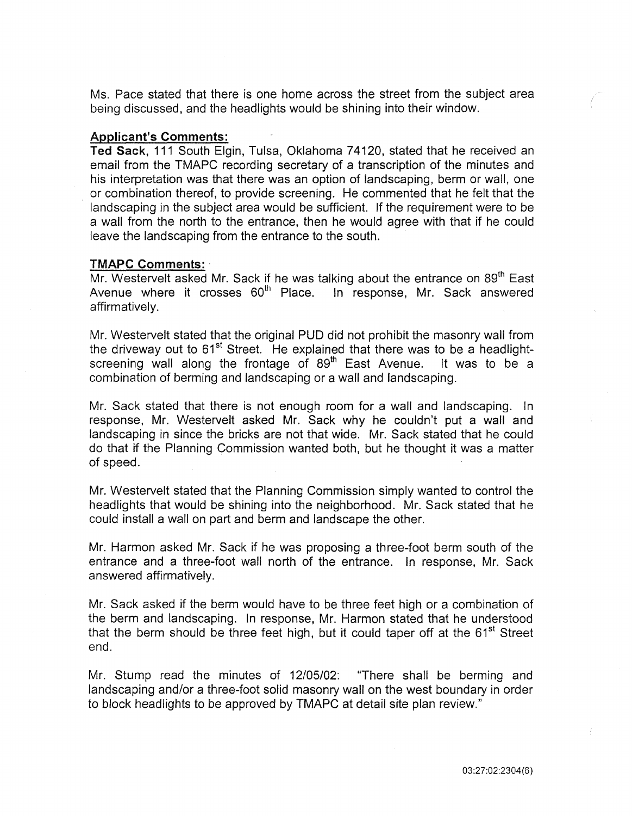Ms. Pace stated that there is one home across the street from the subject area being discussed, and the headlights would be shining into their window.

### Applicant's Comments:

Ted Sack, 111 South Elgin, Tulsa, Oklahoma 74120, stated that he received an email from the TMAPC recording secretary of a transcription of the minutes and his interpretation was that there was an option of landscaping, berm or wall, one or combination thereof, to provide screening. He commented that he felt that the landscaping in the subject area would be sufficient. If the requirement were to be a wall from the north to the entrance, then he would agree with that if he could leave the landscaping from the entrance to the south.

### TMAPC Comments:

Mr. Westervelt asked Mr. Sack if he was talking about the entrance on 89<sup>th</sup> East Avenue where it crosses  $60<sup>th</sup>$  Place. In response. Mr. Sack answered Avenue where it crosses 60<sup>th</sup> Place. affirmatively.

Mr. Westervelt stated that the original PUD did not prohibit the masonry wall from the driveway out to 61<sup>st</sup> Street. He explained that there was to be a headlightscreening wall along the frontage of  $89<sup>th</sup>$  East Avenue. It was to be a combination of berming and landscaping or a wall and landscaping.

Mr. Sack stated that there is not enough room for a wall and landscaping. In response, Mr. Westervelt asked Mr. Sack why he couldn't put a wall and landscaping in since the bricks are not that wide. Mr. Sack stated that he could do that if the Planning Commission wanted both, but he thought it was a matter of speed.

Mr. Westervelt stated that the Planning Commission simply wanted to control the headlights that would be shining into the neighborhood. Mr. Sack stated that he could install a wall on part and berm and landscape the other.

Mr. Harmon asked Mr. Sack if he was proposing a three-foot berm south of the entrance and a three-foot wall north of the entrance. In response, Mr. Sack answered affirmatively.

Mr. Sack asked if the berm would have to be three feet high or a combination of the berm and landscaping. In response, Mr. Harmon stated that he understood that the berm should be three feet high, but it could taper off at the  $61<sup>st</sup>$  Street end.

Mr. Stump read the minutes of 12/05/02: "There shall be berming and landscaping and/or a three-foot solid masonry wall on the west boundary in order to block headlights to be approved by TMAPC at detail site plan review."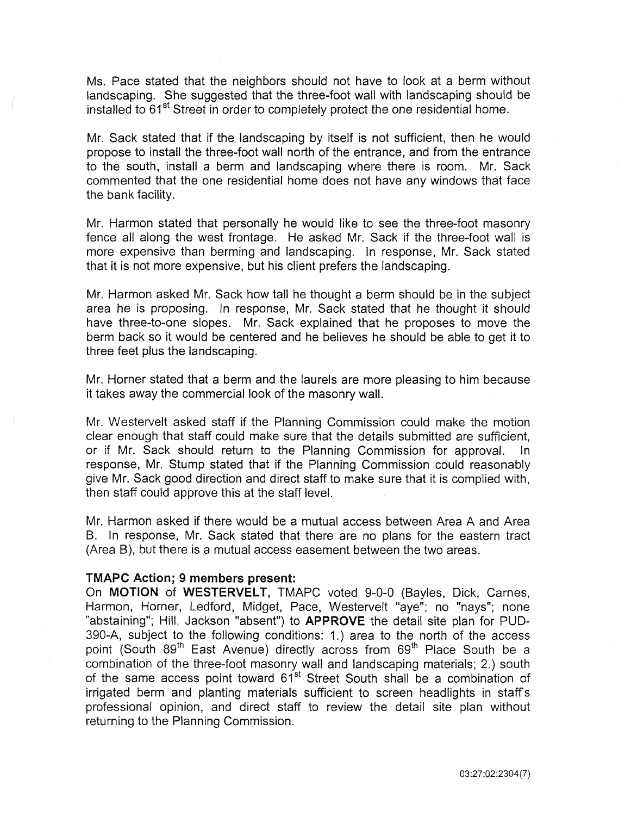Ms. Pace stated that the neighbors should not have to look at a berm without landscaping. She suggested that the three-foot wall with landscaping should be installed to 61<sup>st</sup> Street in order to completely protect the one residential home.

Mr. Sack stated that if the landscaping by itself is not sufficient, then he would propose to install the three-foot wall north of the entrance, and from the entrance to the south, install a berm and landscaping where there is room. Mr. Sack commented that the one residential home does not have any windows that face the bank facility.

Mr. Harmon stated that personally he would like to see the three-foot masonry fence all along the west frontage. He asked Mr. Sack if the three-foot wall is more expensive than berming and landscaping. In response, Mr. Sack stated that it is not more expensive, but his client prefers the landscaping.

Mr. Harmon asked Mr. Sack how tall he thought a berm should be in the subject area he is proposing. In response, Mr. Sack stated that he thought it should have three-to-one slopes. Mr. Sack explained that he proposes to move the berm back so it would be centered and he believes he should be able to get it to three feet plus the landscaping.

Mr. Horner stated that a berm and the laurels are more pleasing to him because it takes away the commercial look of the masonry wall.

Mr. Westervelt asked staff if the Planning Commission could make the motion clear enough that staff could make sure that the details submitted are sufficient, or if Mr. Sack should return to the Planning Commission for approval. In response, Mr. Stump stated that if the Planning Commission could reasonably give Mr. Sack good direction and direct staff to make sure that it is complied with, then staff could approve this at the staff level.

Mr. Harmon asked if there would be a mutual access between Area A and Area B. In response, Mr. Sack stated that there are no plans for the eastern tract (Area B), but there is a mutual access easement between the two areas.

### TMAPC Action; 9 members present:

On MOTION of WESTERVELT, TMAPC voted 9-0-0 (Bayles, Dick, Carnes, Harmon, Horner, Ledford, Midget, Pace, Westervelt "aye"; no "nays"; none "abstaining"; Hill, Jackson "absent") to **APPROVE** the detail site plan for PUD-390-A, subject to the following conditions: 1.) area to the north of the access point (South 89<sup>th</sup> East Avenue) directly across from 69<sup>th</sup> Place South be a combination of the three-foot masonry wall and landscaping materials; 2.) south of the same access point toward 61<sup>st</sup> Street South shall be a combination of irrigated berm and planting materials sufficient to screen headlights in staff's professional opinion, and direct staff to review the detail site plan without returning to the Planning Commission.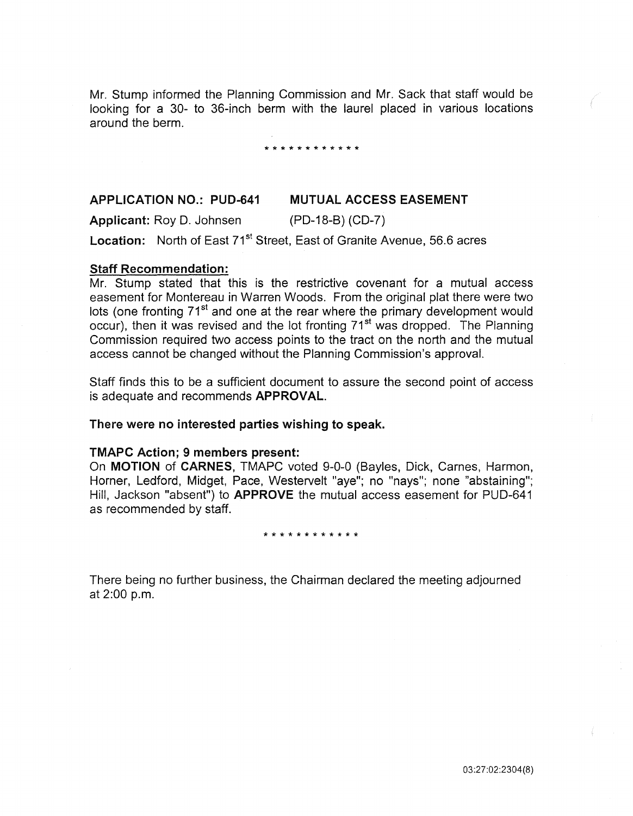Mr. Stump informed the Planning Commission and Mr. Sack that staff would be looking for a 30- to 36-inch berm with the laurel placed in various locations around the berm.

#### \* \* \* \* \* \* \* \* \* \* \* \*

#### APPLICATION NO.: PUD-641 MUTUAL ACCESS EASEMENT

Applicant: Roy D. Johnsen (PD-18-B) (CD-7) Location: North of East 71<sup>st</sup> Street, East of Granite Avenue, 56.6 acres

### Staff Recommendation:

Mr. Stump stated that this is the restrictive covenant for a mutual access easement for Montereau in Warren Woods. From the original plat there were two lots (one fronting 71<sup>st</sup> and one at the rear where the primary development would occur), then it was revised and the lot fronting 71<sup>st</sup> was dropped. The Planning Commission required two access points to the tract on the north and the mutual access cannot be changed without the Planning Commission's approval.

Staff finds this to be a sufficient document to assure the second point of access is adequate and recommends APPROVAL.

There were no interested parties wishing to speak.

### TMAPC Action; 9 members present:

On MOTION of CARNES, TMAPC voted 9-0-0 (Bayles, Dick, Carnes, Harmon, Horner, Ledford, Midget, Pace, Westervelt "aye"; no "nays"; none "abstaining"; Hill, Jackson "absent") to APPROVE the mutual access easement for PUD-641 as recommended by staff.

#### \* \* \* \* \* \* \* \* \* \* \* \*

There being no further business, the Chairman declared the meeting adjourned at 2:00 p.m.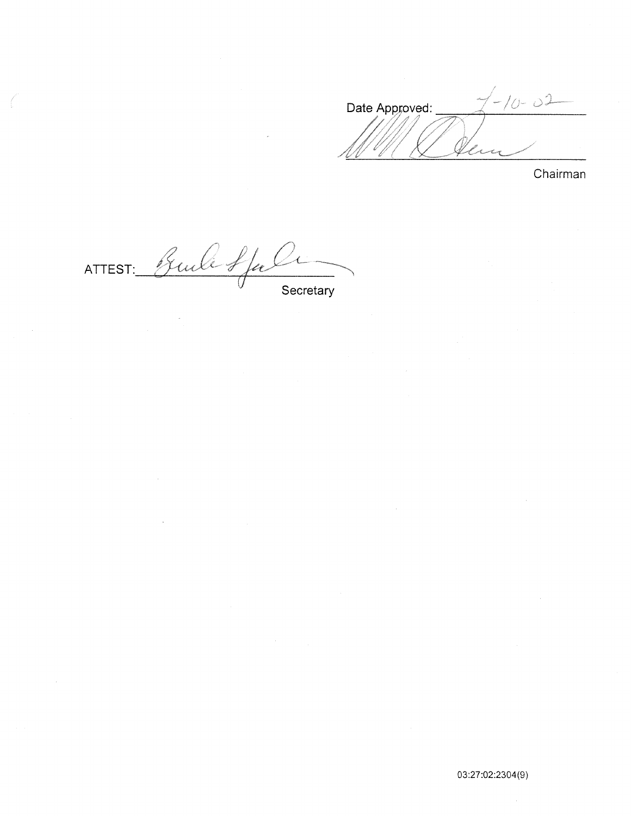$1 - 10 - 02$ Date Approved: i<br>Ling Ä.

Chairman

Guile Stale ATTEST: Secretary